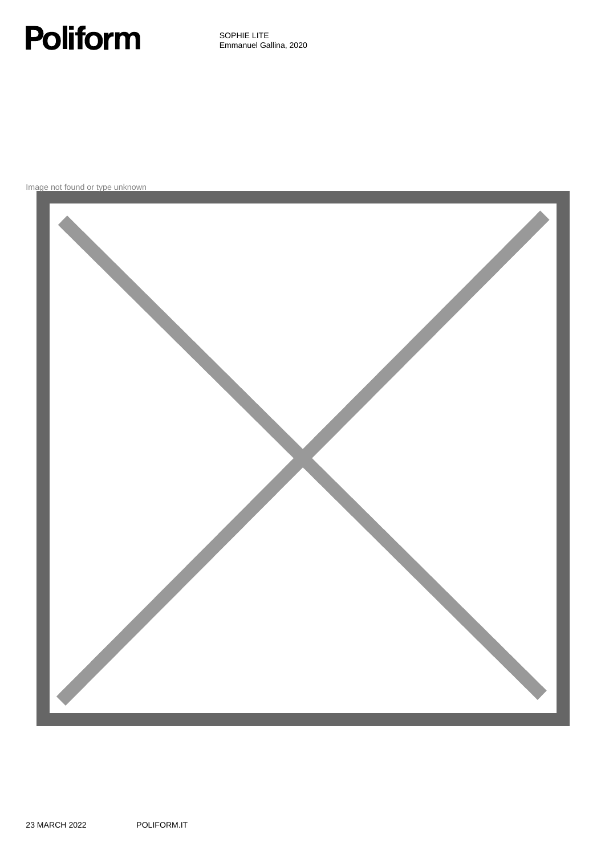# **Poliform**

SOPHIE LITE Emmanuel Gallina, 2020

Image not found or type unknown

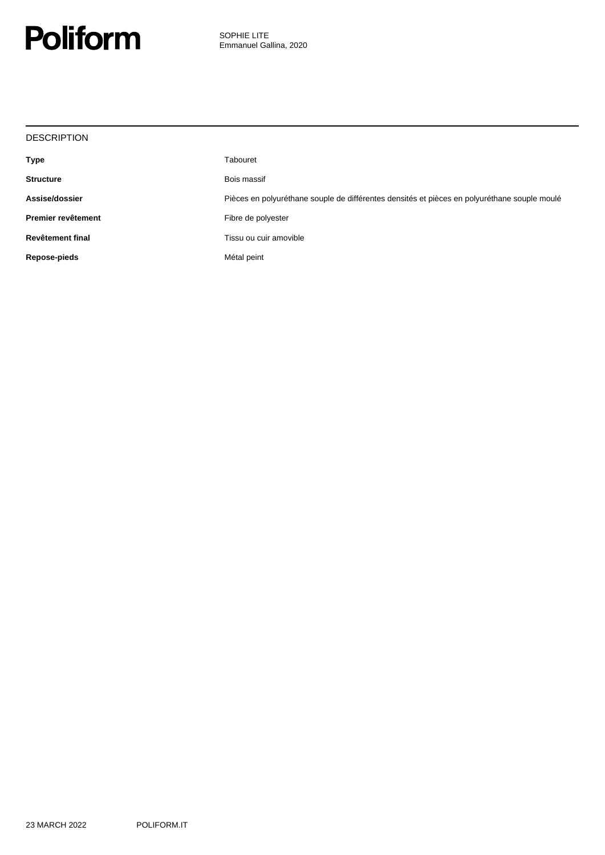![](_page_1_Picture_0.jpeg)

| <b>DESCRIPTION</b> |                                                                                              |
|--------------------|----------------------------------------------------------------------------------------------|
| Type               | Tabouret                                                                                     |
| <b>Structure</b>   | Bois massif                                                                                  |
| Assise/dossier     | Pièces en polyuréthane souple de différentes densités et pièces en polyuréthane souple moulé |
| Premier revêtement | Fibre de polyester                                                                           |
| Revêtement final   | Tissu ou cuir amovible                                                                       |
| Repose-pieds       | Métal peint                                                                                  |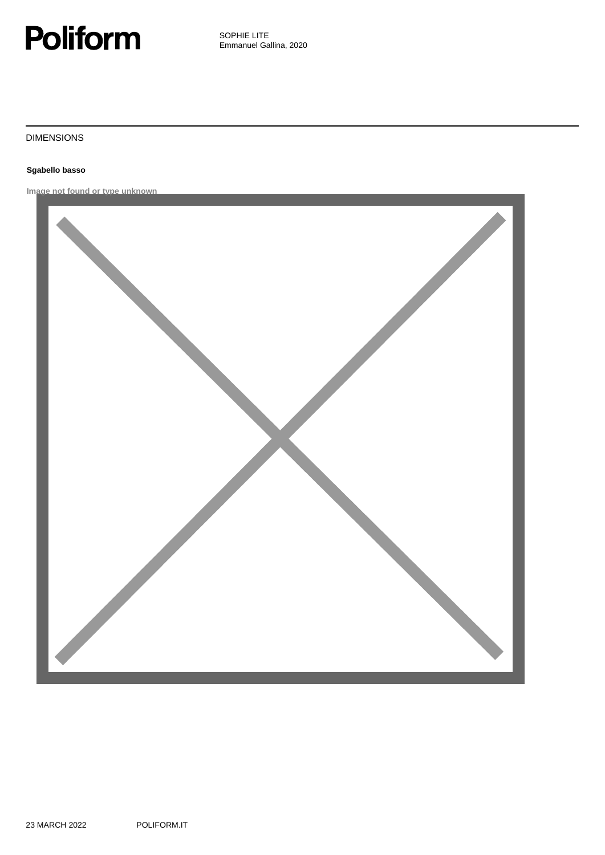![](_page_2_Picture_0.jpeg)

#### DIMENSIONS

#### **Sgabello basso**

**Image not found or type unknown**

![](_page_2_Picture_5.jpeg)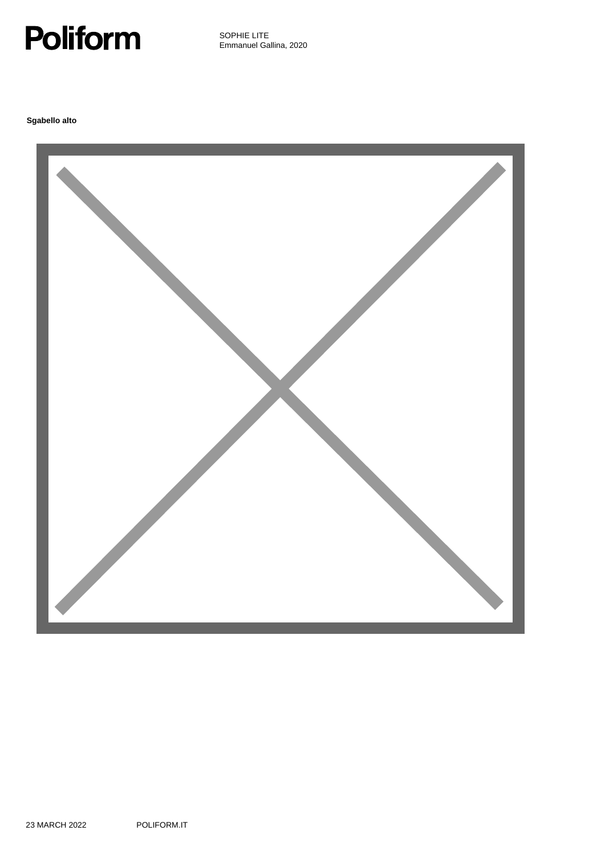![](_page_3_Picture_0.jpeg)

**Sgabello alto**

![](_page_3_Picture_3.jpeg)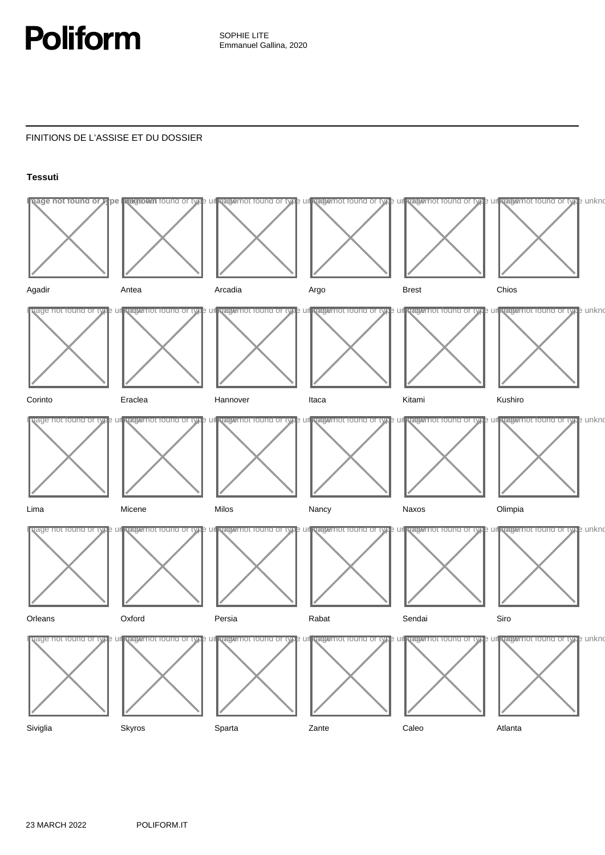![](_page_4_Picture_0.jpeg)

# FINITIONS DE L'ASSISE ET DU DOSSIER

## **Tessuti**

![](_page_4_Figure_4.jpeg)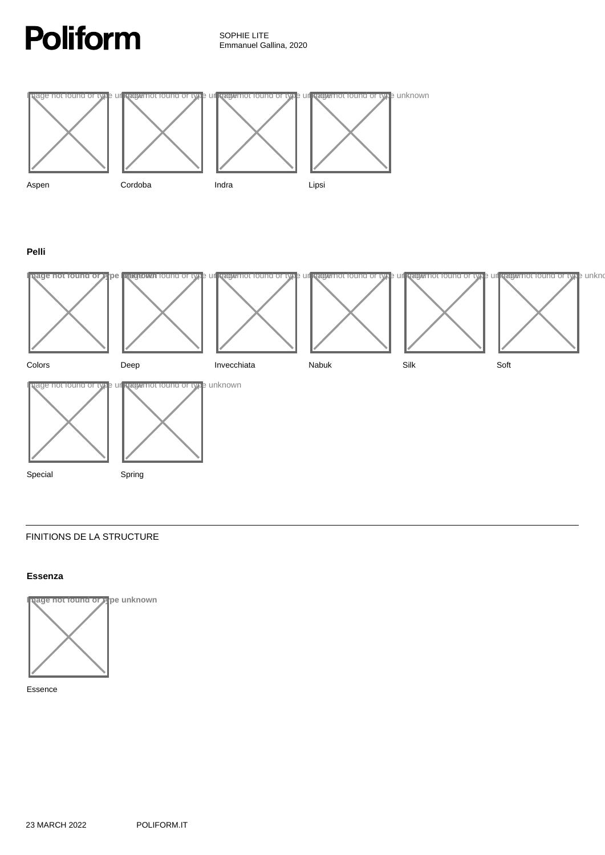![](_page_5_Picture_0.jpeg)

![](_page_5_Figure_2.jpeg)

**Pelli**

![](_page_5_Figure_4.jpeg)

## FINITIONS DE LA STRUCTURE

## **Essenza**

![](_page_5_Picture_7.jpeg)

Essence